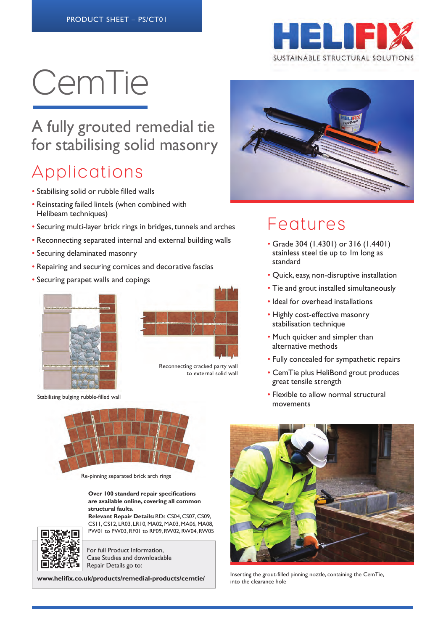

# CemTie

#### A fully grouted remedial tie for stabilising solid masonry

### Applications

- Stabilising solid or rubble filled walls
- Reinstating failed lintels (when combined with Helibeam techniques)
- Securing multi-layer brick rings in bridges, tunnels and arches
- Reconnecting separated internal and external building walls
- Securing delaminated masonry
- Repairing and securing cornices and decorative fascias
- Securing parapet walls and copings





Reconnecting cracked party wall to external solid wall

Stabilising bulging rubble-filled wall



Re-pinning separated brick arch rings

#### **Over 100 standard repair specifications are available online, covering all common structural faults.**

**Relevant Repair Details:** RDs CS04, CS07, CS09, CS11, CS12, LR03, LR10, MA02, MA03, MA06, MA08, PW01 to PW03, RF01 to RF09, RW02, RW04, RW05



For full Product Information, Case Studies and downloadable Repair Details go to:

**www.helifix.co.uk/products/remedial-products/cemtie/**



#### **Features**

- Grade 304 (1.4301) or 316 (1.4401) stainless steel tie up to 1m long as standard
- Quick, easy, non-disruptive installation
- Tie and grout installed simultaneously
- Ideal for overhead installations
- Highly cost-effective masonry stabilisation technique
- Much quicker and simpler than alternative methods
- Fully concealed for sympathetic repairs
- CemTie plus HeliBond grout produces great tensile strength
- Flexible to allow normal structural movements



Inserting the grout-filled pinning nozzle, containing the CemTie, into the clearance hole